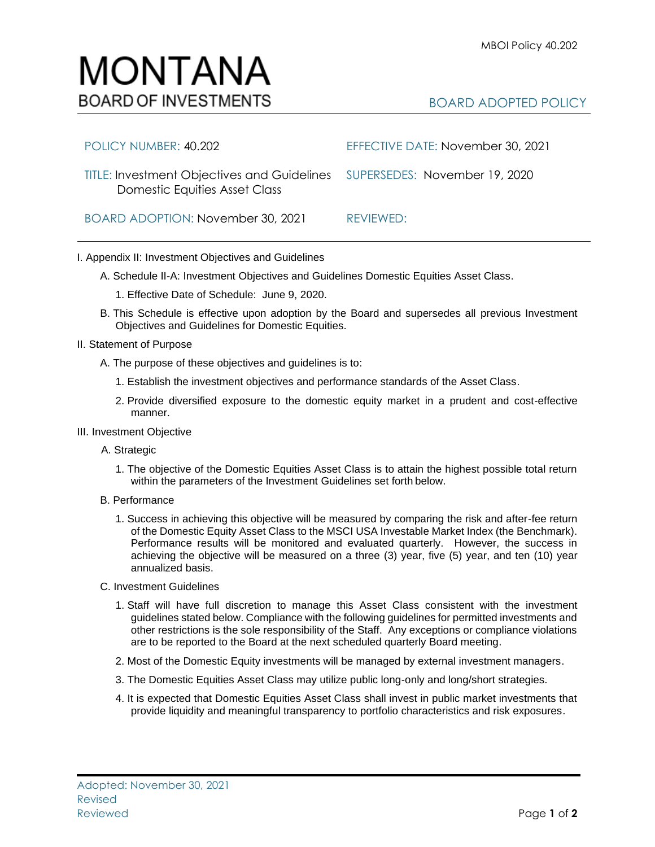BOARD ADOPTED POLICY

- 1. Staff will have full discretion to manage this Asset Class consistent with the investment guidelines stated below. Compliance with the following guidelines for permitted investments and other restrictions is the sole responsibility of the Staff. Any exceptions or compliance violations are to be reported to the Board at the next scheduled quarterly Board meeting.
- 2. Most of the Domestic Equity investments will be managed by external investment managers.
- 3. The Domestic Equities Asset Class may utilize public long-only and long/short strategies.
- 4. It is expected that Domestic Equities Asset Class shall invest in public market investments that provide liquidity and meaningful transparency to portfolio characteristics and risk exposures.

| POLICY NUMBER: 40.202                                                                                             | EFFECTIVE DATE: November 30, 2021 |
|-------------------------------------------------------------------------------------------------------------------|-----------------------------------|
| TITLE: Investment Objectives and Guidelines SUPERSEDES: November 19, 2020<br><b>Domestic Equities Asset Class</b> |                                   |
| BOARD ADOPTION: November 30, 2021                                                                                 | REVIEWED:                         |

## I. Appendix II: Investment Objectives and Guidelines

- A. Schedule II-A: Investment Objectives and Guidelines Domestic Equities Asset Class.
	- 1. Effective Date of Schedule: June 9, 2020.
- B. This Schedule is effective upon adoption by the Board and supersedes all previous Investment Objectives and Guidelines for Domestic Equities.
- II. Statement of Purpose
	- A. The purpose of these objectives and guidelines is to:
		- 1. Establish the investment objectives and performance standards of the Asset Class.
		- 2. Provide diversified exposure to the domestic equity market in a prudent and cost-effective manner.
- III. Investment Objective
	- A. Strategic
		- 1. The objective of the Domestic Equities Asset Class is to attain the highest possible total return within the parameters of the Investment Guidelines set forth below.
	- B. Performance
		- 1. Success in achieving this objective will be measured by comparing the risk and after-fee return of the Domestic Equity Asset Class to the MSCI USA Investable Market Index (the Benchmark). Performance results will be monitored and evaluated quarterly. However, the success in achieving the objective will be measured on a three (3) year, five (5) year, and ten (10) year annualized basis.
	- C. Investment Guidelines

# MONTANA **BOARD OF INVESTMENTS**